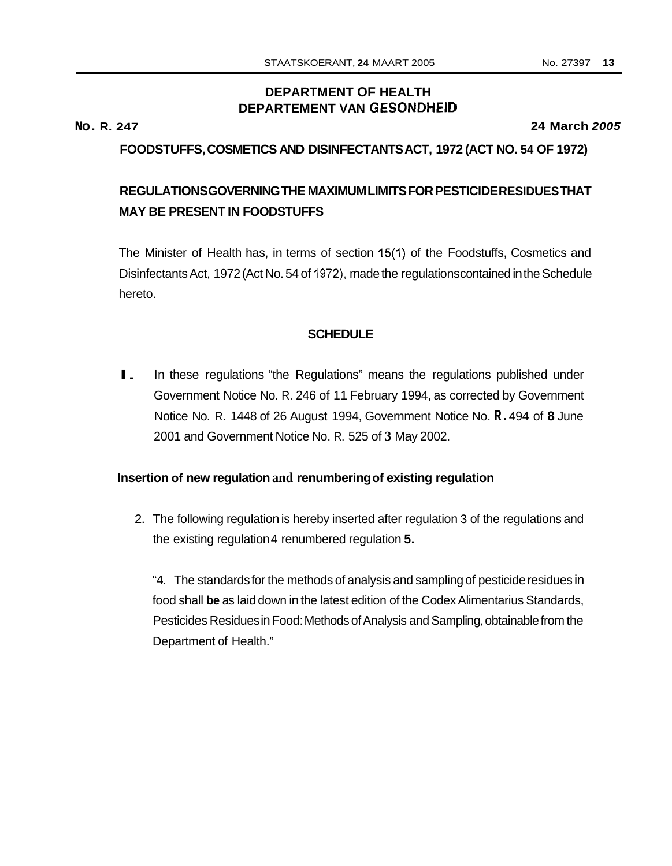### **DEPARTMENT OF HEALTH DEPARTEMENT VAN GESONDHEID**

**No. R. 247** 

#### **24 March** *2005*

**FOODSTUFFS, COSMETICS AND DISINFECTANTS ACT, 1972 (ACT NO. 54 OF 1972)** 

# **REGULATIONS GOVERNING THE MAXIMUM LIMITS FOR PESTICIDE RESIDUES THAT MAY BE PRESENT IN FOODSTUFFS**

The Minister of Health has, in terms of section 15(1) of the Foodstuffs, Cosmetics and Disinfectants Act, 1972 (Act No. 54 of 1972), made the regulations contained in the Schedule hereto.

## **SCHEDULE**

**I.** In these regulations "the Regulations" means the regulations published under Government Notice No. R. 246 of 11 February 1994, as corrected by Government Notice No. R. 1448 of 26 August 1994, Government Notice No. **R.** 494 of **8** June 2001 and Government Notice No. R. 525 of **3** May 2002.

### **Insertion of new regulation and renumbering of existing regulation**

2. The following regulation is hereby inserted after regulation 3 of the regulations and the existing regulation 4 renumbered regulation **5.** 

"4. The standards for the methods of analysis and sampling of pesticide residues in food shall **be** as laid down in the latest edition of the Codex Alimentarius Standards, Pesticides Residues in Food: Methods of Analysis and Sampling, obtainable from the Department of Health."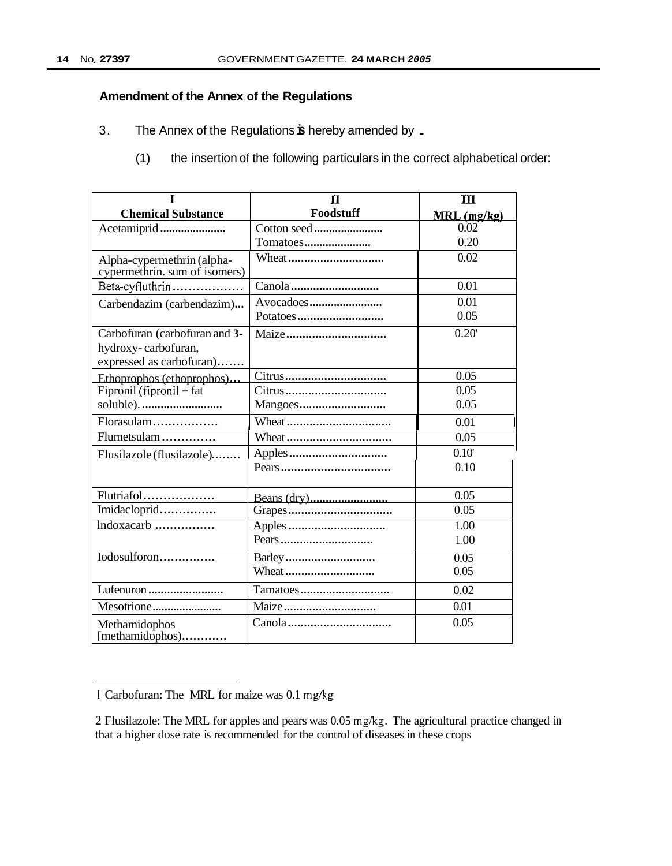# **Amendment of the Annex of the Regulations**

- 3 . The Annex of the Regulations **is** hereby amended by .
	- (1) the insertion of the following particulars in the correct alphabetical order:

|                                                                                  | $\mathbf{H}$          | Ш            |
|----------------------------------------------------------------------------------|-----------------------|--------------|
| <b>Chemical Substance</b>                                                        | Foodstuff             | MRL (mg/kg)  |
| Acetamiprid                                                                      | Cotton seed           | 0.02         |
|                                                                                  | Tomatoes              | 0.20         |
| Alpha-cypermethrin (alpha-<br>cypermethrin. sum of isomers)                      | Wheat                 | 0.02         |
| Beta-cyfluthrin                                                                  | Canola                | 0.01         |
| Carbendazim (carbendazim)                                                        | Avocadoes<br>Potatoes | 0.01<br>0.05 |
| Carbofuran (carbofuran and 3-<br>hydroxy-carbofuran,<br>expressed as carbofuran) | Maize                 | 0.20'        |
| Ethoprophos (ethoprophos)                                                        | Citrus                | 0.05         |
| Fipronil (fipronil - fat                                                         | Citrus                | 0.05         |
| soluble).                                                                        | Mangoes               | 0.05         |
| Florasulam                                                                       | Wheat                 | 0.01         |
| Flumetsulam                                                                      | Wheat                 | 0.05         |
| Flusilazole (flusilazole)                                                        | Apples                | 0.10'        |
|                                                                                  |                       | 0.10         |
| Flutriafol                                                                       |                       | 0.05         |
| Imidacloprid                                                                     | Grapes                | 0.05         |
| $Indoxacarb$                                                                     | Apples                | 1.00         |
|                                                                                  | Pears                 | 1.00         |
| Iodosulforon                                                                     | Barley                | 0.05         |
|                                                                                  | Wheat                 | 0.05         |
| Lufenuron                                                                        | Tamatoes              | 0.02         |
| Mesotrione                                                                       | Maize                 | 0.01         |
| Methamidophos<br>[methamidophos)                                                 |                       | 0.05         |

I Carbofuran: The MRL for maize was 0.1 mg/kg

<sup>2</sup> Flusilazole: The MRL for apples and pears was 0.05 mg/kg. The agricultural practice changed in that a higher dose rate is recommended for the control of diseases in these crops